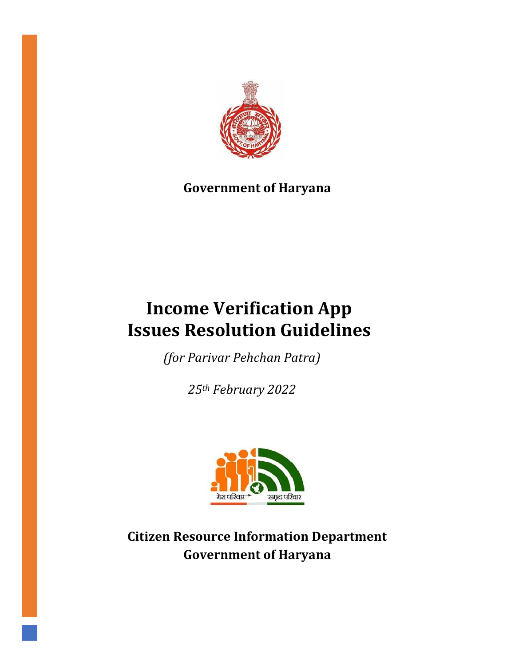

# **Government of Haryana**

# **Income Verification App Issues Resolution Guidelines**

*(for Parivar Pehchan Patra)*

*25th February 2022*



**Citizen Resource Information Department Government of Haryana**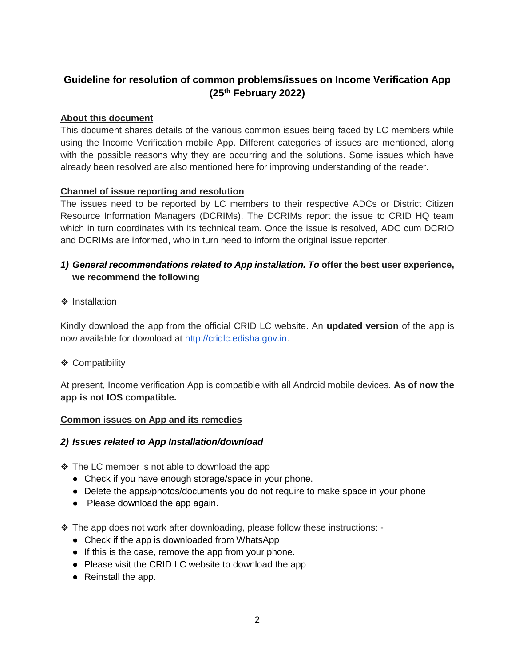# **Guideline for resolution of common problems/issues on Income Verification App (25 th February 2022)**

#### **About this document**

This document shares details of the various common issues being faced by LC members while using the Income Verification mobile App. Different categories of issues are mentioned, along with the possible reasons why they are occurring and the solutions. Some issues which have already been resolved are also mentioned here for improving understanding of the reader.

#### **Channel of issue reporting and resolution**

The issues need to be reported by LC members to their respective ADCs or District Citizen Resource Information Managers (DCRIMs). The DCRIMs report the issue to CRID HQ team which in turn coordinates with its technical team. Once the issue is resolved, ADC cum DCRIO and DCRIMs are informed, who in turn need to inform the original issue reporter.

### *1) General recommendations related to App installation. To* **offer the best user experience, we recommend the following**

❖ Installation

Kindly download the app from the official CRID LC website. An **updated version** of the app is now available for download at [http://cridlc.edisha.gov.in.](http://cridlc.edisha.gov.in/)

❖ Compatibility

At present, Income verification App is compatible with all Android mobile devices. **As of now the app is not IOS compatible.** 

#### **Common issues on App and its remedies**

#### *2) Issues related to App Installation/download*

❖ The LC member is not able to download the app

- Check if you have enough storage/space in your phone.
- Delete the apps/photos/documents you do not require to make space in your phone
- Please download the app again.
- ❖ The app does not work after downloading, please follow these instructions:
	- Check if the app is downloaded from WhatsApp
	- If this is the case, remove the app from your phone.
	- Please visit the CRID LC website to download the app
	- Reinstall the app.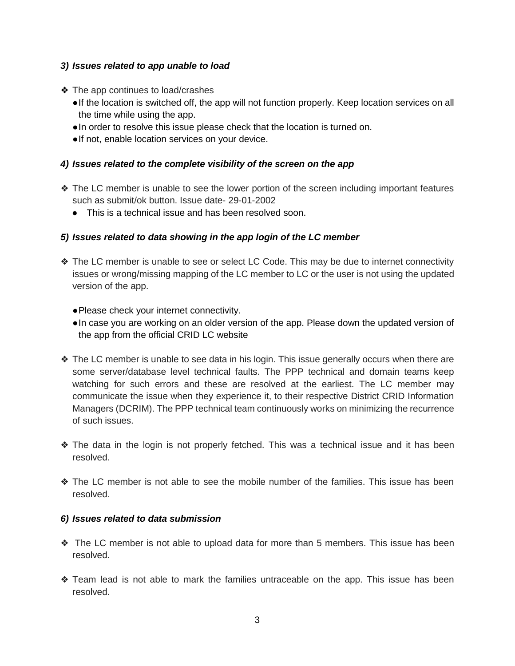#### *3) Issues related to app unable to load*

- ❖ The app continues to load/crashes
	- ●If the location is switched off, the app will not function properly. Keep location services on all the time while using the app.
	- ●In order to resolve this issue please check that the location is turned on.
	- ●If not, enable location services on your device.

#### *4) Issues related to the complete visibility of the screen on the app*

- ❖ The LC member is unable to see the lower portion of the screen including important features such as submit/ok button. Issue date- 29-01-2002
	- This is a technical issue and has been resolved soon.

#### *5) Issues related to data showing in the app login of the LC member*

- ❖ The LC member is unable to see or select LC Code. This may be due to internet connectivity issues or wrong/missing mapping of the LC member to LC or the user is not using the updated version of the app.
	- ●Please check your internet connectivity.
	- ●In case you are working on an older version of the app. Please down the updated version of the app from the official CRID LC website
- ❖ The LC member is unable to see data in his login. This issue generally occurs when there are some server/database level technical faults. The PPP technical and domain teams keep watching for such errors and these are resolved at the earliest. The LC member may communicate the issue when they experience it, to their respective District CRID Information Managers (DCRIM). The PPP technical team continuously works on minimizing the recurrence of such issues.
- ❖ The data in the login is not properly fetched. This was a technical issue and it has been resolved.
- ❖ The LC member is not able to see the mobile number of the families. This issue has been resolved.

#### *6) Issues related to data submission*

- ❖ The LC member is not able to upload data for more than 5 members. This issue has been resolved.
- ❖ Team lead is not able to mark the families untraceable on the app. This issue has been resolved.